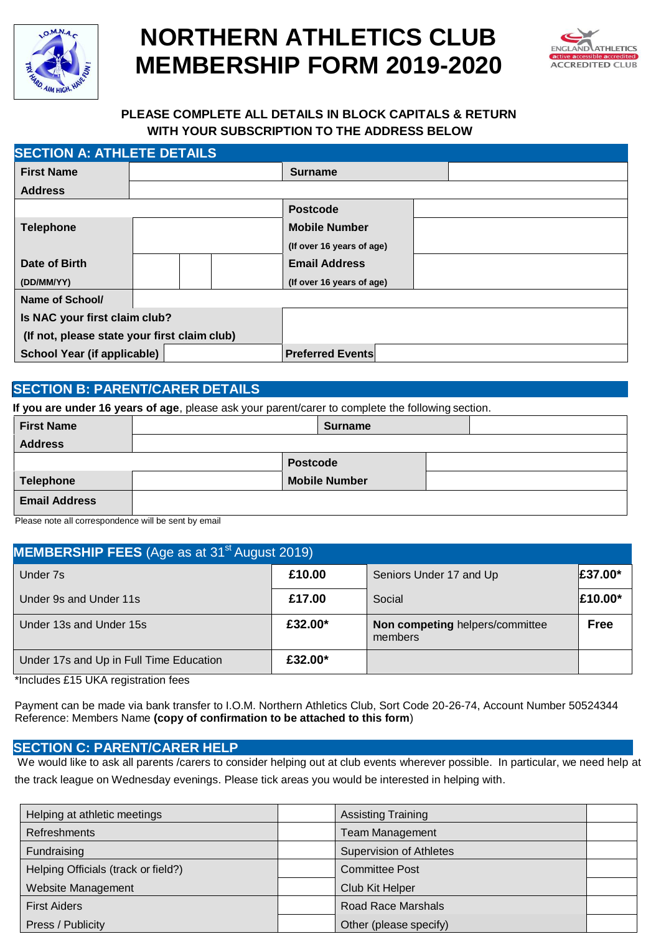

# **NORTHERN ATHLETICS CLUB MEMBERSHIP FORM 2019-2020**



# **PLEASE COMPLETE ALL DETAILS IN BLOCK CAPITALS & RETURN WITH YOUR SUBSCRIPTION TO THE ADDRESS BELOW**

| <b>SECTION A: ATHLETE DETAILS</b>            |  |                         |                      |                           |  |  |  |
|----------------------------------------------|--|-------------------------|----------------------|---------------------------|--|--|--|
| <b>First Name</b>                            |  |                         | <b>Surname</b>       |                           |  |  |  |
| <b>Address</b>                               |  |                         |                      |                           |  |  |  |
|                                              |  |                         |                      | <b>Postcode</b>           |  |  |  |
| <b>Telephone</b>                             |  |                         | <b>Mobile Number</b> |                           |  |  |  |
|                                              |  |                         |                      | (If over 16 years of age) |  |  |  |
| Date of Birth                                |  |                         |                      | <b>Email Address</b>      |  |  |  |
| (DD/MM/YY)                                   |  |                         |                      | (If over 16 years of age) |  |  |  |
| Name of School/                              |  |                         |                      |                           |  |  |  |
| Is NAC your first claim club?                |  |                         |                      |                           |  |  |  |
| (If not, please state your first claim club) |  |                         |                      |                           |  |  |  |
| School Year (if applicable)                  |  | <b>Preferred Events</b> |                      |                           |  |  |  |

## **SECTION B: PARENT/CARER DETAILS**

|                      | If you are under 16 years of age, please ask your parent/carer to complete the following section. |  |
|----------------------|---------------------------------------------------------------------------------------------------|--|
| <b>First Name</b>    | <b>Surname</b>                                                                                    |  |
| <b>Address</b>       |                                                                                                   |  |
|                      | <b>Postcode</b>                                                                                   |  |
| <b>Telephone</b>     | <b>Mobile Number</b>                                                                              |  |
| <b>Email Address</b> |                                                                                                   |  |

Please note all correspondence will be sent by email

| <b>MEMBERSHIP FEES</b> (Age as at 31 <sup>st</sup> August 2019) |         |                                            |             |
|-----------------------------------------------------------------|---------|--------------------------------------------|-------------|
| Under 7s                                                        | £10.00  | Seniors Under 17 and Up                    | £37.00*     |
| Under 9s and Under 11s                                          | £17.00  | Social                                     | £10.00*     |
| Under 13s and Under 15s                                         | £32.00* | Non competing helpers/committee<br>members | <b>Free</b> |
| Under 17s and Up in Full Time Education                         | £32.00* |                                            |             |

\*Includes £15 UKA registration fees

Payment can be made via bank transfer to I.O.M. Northern Athletics Club, Sort Code 20-26-74, Account Number 50524344 Reference: Members Name **(copy of confirmation to be attached to this form**)

#### **SECTION C: PARENT/CARER HELP**

We would like to ask all parents /carers to consider helping out at club events wherever possible. In particular, we need help at the track league on Wednesday evenings. Please tick areas you would be interested in helping with.

| Helping at athletic meetings        | <b>Assisting Training</b>      |  |
|-------------------------------------|--------------------------------|--|
| <b>Refreshments</b>                 | Team Management                |  |
| Fundraising                         | <b>Supervision of Athletes</b> |  |
| Helping Officials (track or field?) | <b>Committee Post</b>          |  |
| Website Management                  | Club Kit Helper                |  |
| <b>First Aiders</b>                 | <b>Road Race Marshals</b>      |  |
| Press / Publicity                   | Other (please specify)         |  |